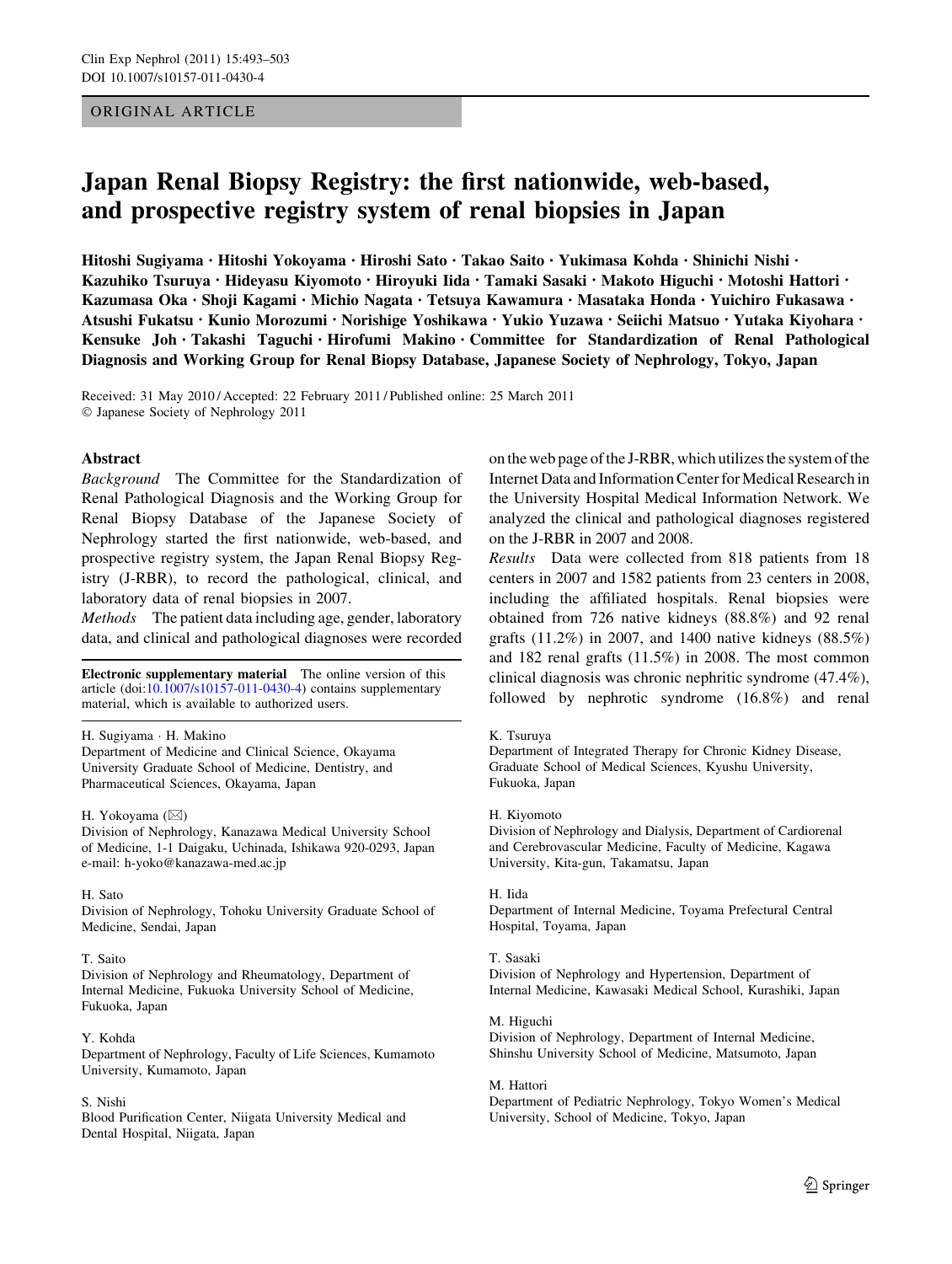## ORIGINAL ARTICLE

# Japan Renal Biopsy Registry: the first nationwide, web-based, and prospective registry system of renal biopsies in Japan

Hitoshi Sugiyama • Hitoshi Yokoyama • Hiroshi Sato • Takao Saito • Yukimasa Kohda • Shinichi Nishi • Kazuhiko Tsuruya • Hideyasu Kiyomoto • Hiroyuki Iida • Tamaki Sasaki • Makoto Higuchi • Motoshi Hattori • Kazumasa Oka • Shoji Kagami • Michio Nagata • Tetsuya Kawamura • Masataka Honda • Yuichiro Fukasawa • Atsushi Fukatsu • Kunio Morozumi • Norishige Yoshikawa • Yukio Yuzawa • Seiichi Matsuo • Yutaka Kiyohara • Kensuke Joh • Takashi Taguchi • Hirofumi Makino • Committee for Standardization of Renal Pathological Diagnosis and Working Group for Renal Biopsy Database, Japanese Society of Nephrology, Tokyo, Japan

Received: 31 May 2010 / Accepted: 22 February 2011 / Published online: 25 March 2011 - Japanese Society of Nephrology 2011

### Abstract

Background The Committee for the Standardization of Renal Pathological Diagnosis and the Working Group for Renal Biopsy Database of the Japanese Society of Nephrology started the first nationwide, web-based, and prospective registry system, the Japan Renal Biopsy Registry (J-RBR), to record the pathological, clinical, and laboratory data of renal biopsies in 2007.

Methods The patient data including age, gender, laboratory data, and clinical and pathological diagnoses were recorded

Electronic supplementary material The online version of this article (doi:[10.1007/s10157-011-0430-4\)](http://dx.doi.org/10.1007/s10157-011-0430-4) contains supplementary material, which is available to authorized users.

### H. Sugiyama - H. Makino

Department of Medicine and Clinical Science, Okayama University Graduate School of Medicine, Dentistry, and Pharmaceutical Sciences, Okayama, Japan

### H. Yokoyama  $(\boxtimes)$

Division of Nephrology, Kanazawa Medical University School of Medicine, 1-1 Daigaku, Uchinada, Ishikawa 920-0293, Japan e-mail: h-yoko@kanazawa-med.ac.jp

### H. Sato

Division of Nephrology, Tohoku University Graduate School of Medicine, Sendai, Japan

### T. Saito

Division of Nephrology and Rheumatology, Department of Internal Medicine, Fukuoka University School of Medicine, Fukuoka, Japan

### Y. Kohda

Department of Nephrology, Faculty of Life Sciences, Kumamoto University, Kumamoto, Japan

### S. Nishi

Blood Purification Center, Niigata University Medical and Dental Hospital, Niigata, Japan

on the web page of the J-RBR, which utilizes the system of the Internet Data and Information Center for Medical Research in the University Hospital Medical Information Network. We analyzed the clinical and pathological diagnoses registered on the J-RBR in 2007 and 2008.

Results Data were collected from 818 patients from 18 centers in 2007 and 1582 patients from 23 centers in 2008, including the affiliated hospitals. Renal biopsies were obtained from 726 native kidneys (88.8%) and 92 renal grafts (11.2%) in 2007, and 1400 native kidneys (88.5%) and 182 renal grafts (11.5%) in 2008. The most common clinical diagnosis was chronic nephritic syndrome (47.4%), followed by nephrotic syndrome (16.8%) and renal

### K. Tsuruya

Department of Integrated Therapy for Chronic Kidney Disease, Graduate School of Medical Sciences, Kyushu University, Fukuoka, Japan

### H. Kiyomoto

Division of Nephrology and Dialysis, Department of Cardiorenal and Cerebrovascular Medicine, Faculty of Medicine, Kagawa University, Kita-gun, Takamatsu, Japan

### H. Iida

Department of Internal Medicine, Toyama Prefectural Central Hospital, Toyama, Japan

### T. Sasaki

Division of Nephrology and Hypertension, Department of Internal Medicine, Kawasaki Medical School, Kurashiki, Japan

### M. Higuchi

Division of Nephrology, Department of Internal Medicine, Shinshu University School of Medicine, Matsumoto, Japan

### M. Hattori

Department of Pediatric Nephrology, Tokyo Women's Medical University, School of Medicine, Tokyo, Japan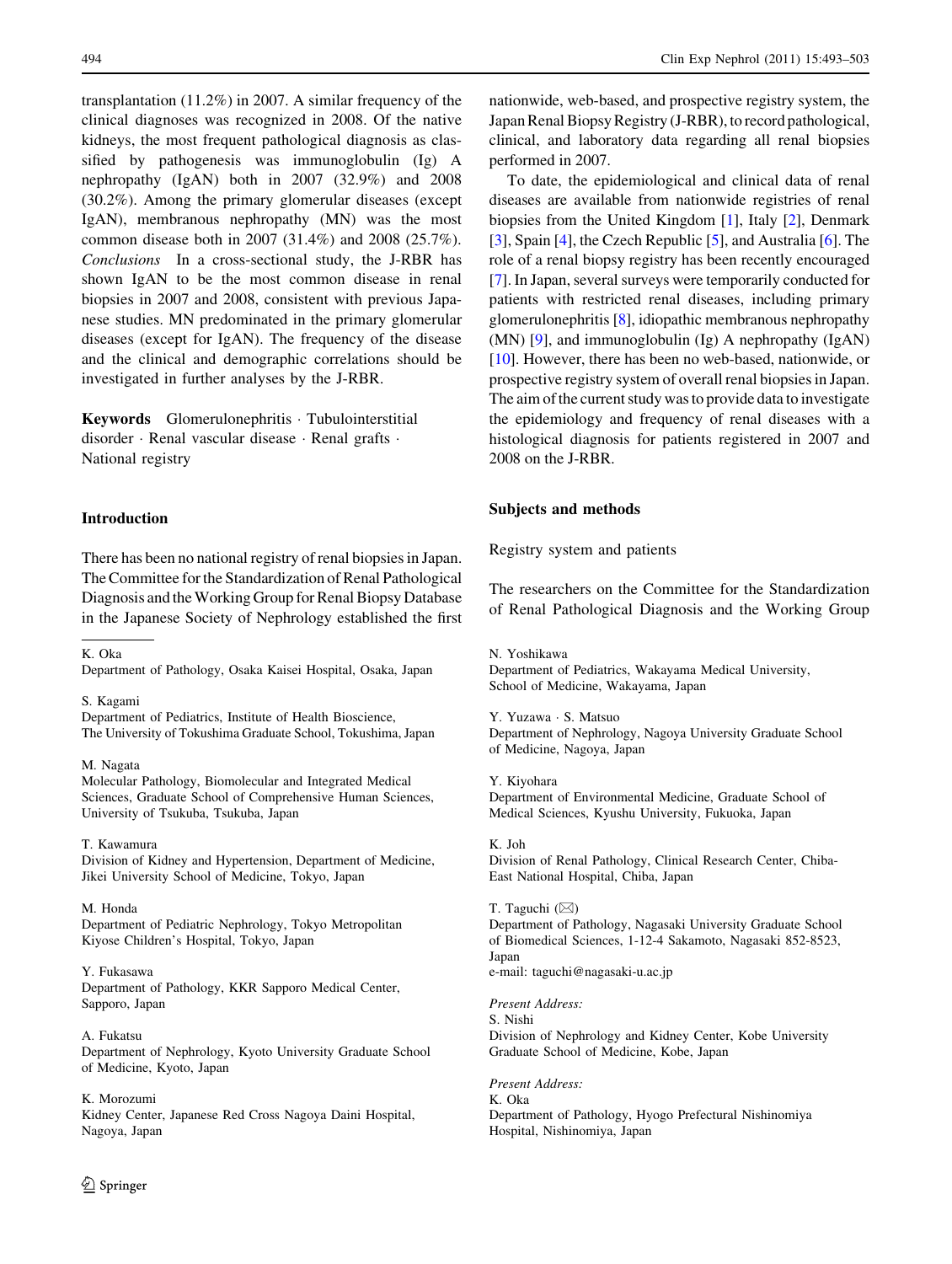transplantation (11.2%) in 2007. A similar frequency of the clinical diagnoses was recognized in 2008. Of the native kidneys, the most frequent pathological diagnosis as classified by pathogenesis was immunoglobulin (Ig) A nephropathy (IgAN) both in 2007 (32.9%) and 2008 (30.2%). Among the primary glomerular diseases (except IgAN), membranous nephropathy (MN) was the most common disease both in 2007 (31.4%) and 2008 (25.7%). Conclusions In a cross-sectional study, the J-RBR has shown IgAN to be the most common disease in renal biopsies in 2007 and 2008, consistent with previous Japanese studies. MN predominated in the primary glomerular diseases (except for IgAN). The frequency of the disease and the clinical and demographic correlations should be investigated in further analyses by the J-RBR.

Keywords Glomerulonephritis · Tubulointerstitial disorder - Renal vascular disease - Renal grafts - National registry

## Introduction

There has been no national registry of renal biopsies in Japan. The Committee for the Standardization of Renal Pathological Diagnosis and the Working Group for Renal Biopsy Database in the Japanese Society of Nephrology established the first

### K. Oka

Department of Pathology, Osaka Kaisei Hospital, Osaka, Japan

### S. Kagami

Department of Pediatrics, Institute of Health Bioscience, The University of Tokushima Graduate School, Tokushima, Japan

### M. Nagata

Molecular Pathology, Biomolecular and Integrated Medical Sciences, Graduate School of Comprehensive Human Sciences, University of Tsukuba, Tsukuba, Japan

### T. Kawamura

Division of Kidney and Hypertension, Department of Medicine, Jikei University School of Medicine, Tokyo, Japan

### M. Honda

Department of Pediatric Nephrology, Tokyo Metropolitan Kiyose Children's Hospital, Tokyo, Japan

### Y. Fukasawa

Department of Pathology, KKR Sapporo Medical Center, Sapporo, Japan

A. Fukatsu Department of Nephrology, Kyoto University Graduate School of Medicine, Kyoto, Japan

### K. Morozumi

Kidney Center, Japanese Red Cross Nagoya Daini Hospital, Nagoya, Japan

nationwide, web-based, and prospective registry system, the Japan Renal Biopsy Registry (J-RBR), to record pathological, clinical, and laboratory data regarding all renal biopsies performed in 2007.

To date, the epidemiological and clinical data of renal diseases are available from nationwide registries of renal biopsies from the United Kingdom [\[1](#page-10-0)], Italy [\[2](#page-10-0)], Denmark [\[3](#page-10-0)], Spain [\[4](#page-10-0)], the Czech Republic [\[5](#page-10-0)], and Australia [\[6\]](#page-10-0). The role of a renal biopsy registry has been recently encouraged [\[7](#page-10-0)]. In Japan, several surveys were temporarily conducted for patients with restricted renal diseases, including primary glomerulonephritis [[8\]](#page-10-0), idiopathic membranous nephropathy (MN) [[9\]](#page-10-0), and immunoglobulin (Ig) A nephropathy (IgAN) [\[10](#page-10-0)]. However, there has been no web-based, nationwide, or prospective registry system of overall renal biopsies in Japan. The aim of the current study was to provide data to investigate the epidemiology and frequency of renal diseases with a histological diagnosis for patients registered in 2007 and 2008 on the J-RBR.

## Subjects and methods

Registry system and patients

The researchers on the Committee for the Standardization of Renal Pathological Diagnosis and the Working Group

N. Yoshikawa Department of Pediatrics, Wakayama Medical University, School of Medicine, Wakayama, Japan

Y. Yuzawa - S. Matsuo

Department of Nephrology, Nagoya University Graduate School of Medicine, Nagoya, Japan

Y. Kiyohara Department of Environmental Medicine, Graduate School of Medical Sciences, Kyushu University, Fukuoka, Japan

K. Joh

Division of Renal Pathology, Clinical Research Center, Chiba-East National Hospital, Chiba, Japan

## T. Taguchi  $(\boxtimes)$

Department of Pathology, Nagasaki University Graduate School of Biomedical Sciences, 1-12-4 Sakamoto, Nagasaki 852-8523, Japan e-mail: taguchi@nagasaki-u.ac.jp

Present Address:

S. Nishi Division of Nephrology and Kidney Center, Kobe University Graduate School of Medicine, Kobe, Japan

Present Address: K. Oka Department of Pathology, Hyogo Prefectural Nishinomiya Hospital, Nishinomiya, Japan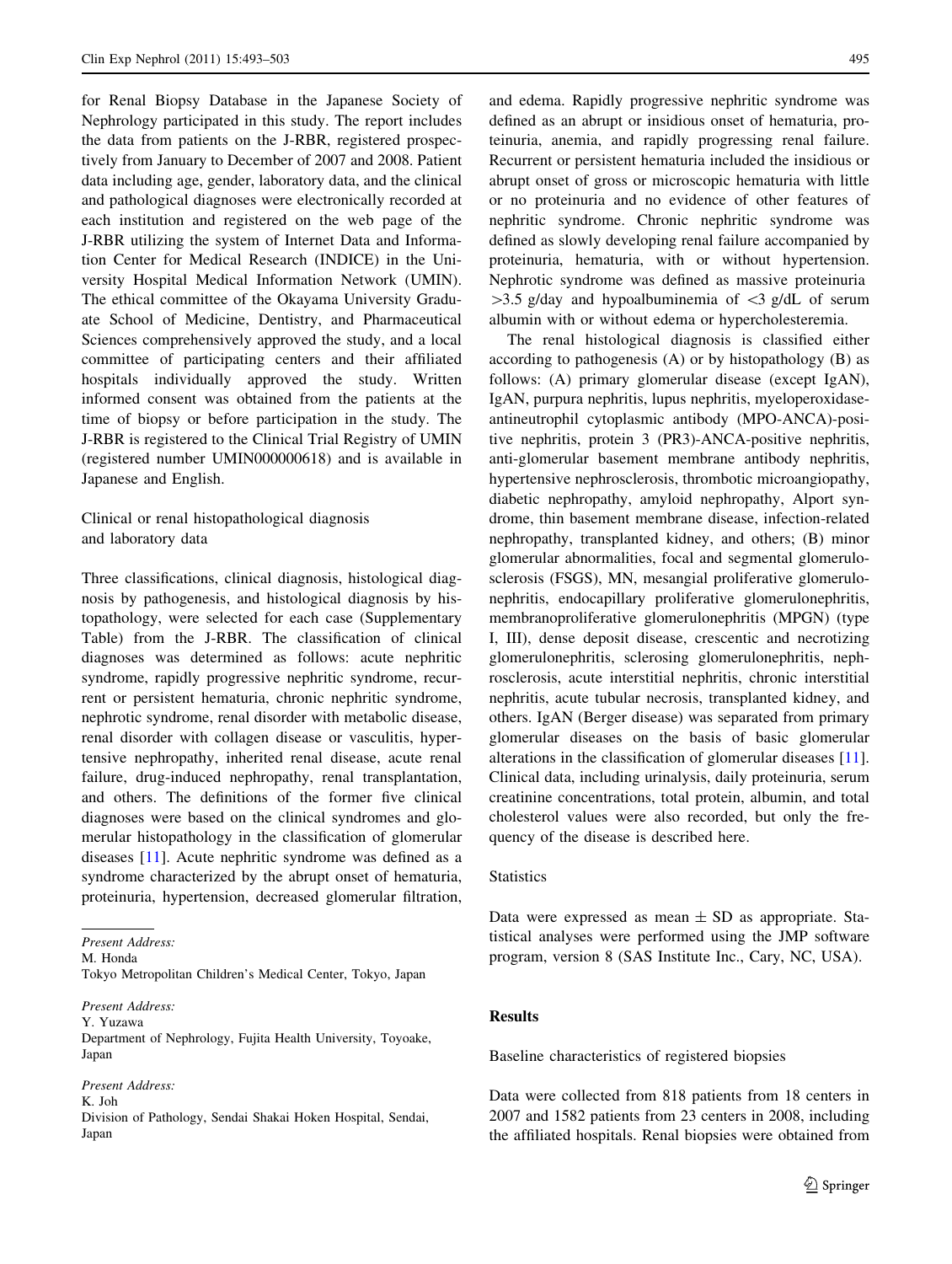for Renal Biopsy Database in the Japanese Society of Nephrology participated in this study. The report includes the data from patients on the J-RBR, registered prospectively from January to December of 2007 and 2008. Patient data including age, gender, laboratory data, and the clinical and pathological diagnoses were electronically recorded at each institution and registered on the web page of the J-RBR utilizing the system of Internet Data and Information Center for Medical Research (INDICE) in the University Hospital Medical Information Network (UMIN). The ethical committee of the Okayama University Graduate School of Medicine, Dentistry, and Pharmaceutical Sciences comprehensively approved the study, and a local committee of participating centers and their affiliated hospitals individually approved the study. Written informed consent was obtained from the patients at the time of biopsy or before participation in the study. The J-RBR is registered to the Clinical Trial Registry of UMIN (registered number UMIN000000618) and is available in Japanese and English.

Clinical or renal histopathological diagnosis and laboratory data

Three classifications, clinical diagnosis, histological diagnosis by pathogenesis, and histological diagnosis by histopathology, were selected for each case (Supplementary Table) from the J-RBR. The classification of clinical diagnoses was determined as follows: acute nephritic syndrome, rapidly progressive nephritic syndrome, recurrent or persistent hematuria, chronic nephritic syndrome, nephrotic syndrome, renal disorder with metabolic disease, renal disorder with collagen disease or vasculitis, hypertensive nephropathy, inherited renal disease, acute renal failure, drug-induced nephropathy, renal transplantation, and others. The definitions of the former five clinical diagnoses were based on the clinical syndromes and glomerular histopathology in the classification of glomerular diseases [[11\]](#page-10-0). Acute nephritic syndrome was defined as a syndrome characterized by the abrupt onset of hematuria, proteinuria, hypertension, decreased glomerular filtration,

M. Honda

Tokyo Metropolitan Children's Medical Center, Tokyo, Japan

Present Address:

Y. Yuzawa Department of Nephrology, Fujita Health University, Toyoake, Japan

### Present Address:

K. Joh

Division of Pathology, Sendai Shakai Hoken Hospital, Sendai, Japan

and edema. Rapidly progressive nephritic syndrome was defined as an abrupt or insidious onset of hematuria, proteinuria, anemia, and rapidly progressing renal failure. Recurrent or persistent hematuria included the insidious or abrupt onset of gross or microscopic hematuria with little or no proteinuria and no evidence of other features of nephritic syndrome. Chronic nephritic syndrome was defined as slowly developing renal failure accompanied by proteinuria, hematuria, with or without hypertension. Nephrotic syndrome was defined as massive proteinuria  $>3.5$  g/day and hypoalbuminemia of  $<$ 3 g/dL of serum albumin with or without edema or hypercholesteremia.

The renal histological diagnosis is classified either according to pathogenesis (A) or by histopathology (B) as follows: (A) primary glomerular disease (except IgAN), IgAN, purpura nephritis, lupus nephritis, myeloperoxidaseantineutrophil cytoplasmic antibody (MPO-ANCA)-positive nephritis, protein 3 (PR3)-ANCA-positive nephritis, anti-glomerular basement membrane antibody nephritis, hypertensive nephrosclerosis, thrombotic microangiopathy, diabetic nephropathy, amyloid nephropathy, Alport syndrome, thin basement membrane disease, infection-related nephropathy, transplanted kidney, and others; (B) minor glomerular abnormalities, focal and segmental glomerulosclerosis (FSGS), MN, mesangial proliferative glomerulonephritis, endocapillary proliferative glomerulonephritis, membranoproliferative glomerulonephritis (MPGN) (type I, III), dense deposit disease, crescentic and necrotizing glomerulonephritis, sclerosing glomerulonephritis, nephrosclerosis, acute interstitial nephritis, chronic interstitial nephritis, acute tubular necrosis, transplanted kidney, and others. IgAN (Berger disease) was separated from primary glomerular diseases on the basis of basic glomerular alterations in the classification of glomerular diseases [\[11](#page-10-0)]. Clinical data, including urinalysis, daily proteinuria, serum creatinine concentrations, total protein, albumin, and total cholesterol values were also recorded, but only the frequency of the disease is described here.

## **Statistics**

Data were expressed as mean  $\pm$  SD as appropriate. Statistical analyses were performed using the JMP software program, version 8 (SAS Institute Inc., Cary, NC, USA).

## Results

Baseline characteristics of registered biopsies

Data were collected from 818 patients from 18 centers in 2007 and 1582 patients from 23 centers in 2008, including the affiliated hospitals. Renal biopsies were obtained from

Present Address: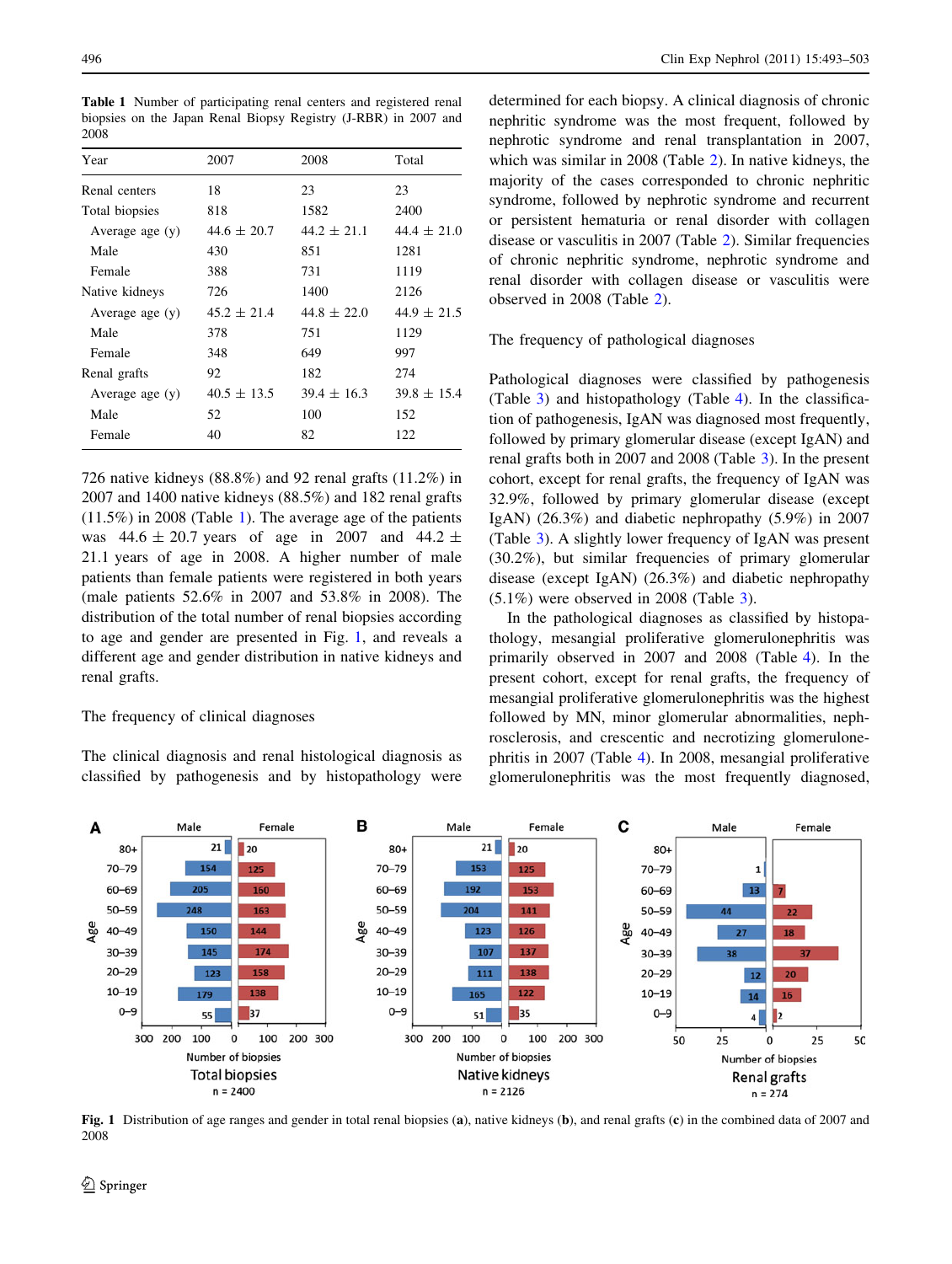Table 1 Number of participating renal centers and registered renal biopsies on the Japan Renal Biopsy Registry (J-RBR) in 2007 and 2008

| Year              | 2007            | 2008            | Total           |
|-------------------|-----------------|-----------------|-----------------|
| Renal centers     | 18              | 23              | 23              |
| Total biopsies    | 818             | 1582            | 2400            |
| Average age $(y)$ | $44.6 \pm 20.7$ | $44.2 \pm 21.1$ | $44.4 \pm 21.0$ |
| Male              | 430             | 851             | 1281            |
| Female            | 388             | 731             | 1119            |
| Native kidneys    | 726             | 1400            | 2126            |
| Average age $(y)$ | $45.2 \pm 21.4$ | $44.8 \pm 22.0$ | $44.9 \pm 21.5$ |
| Male              | 378             | 751             | 1129            |
| Female            | 348             | 649             | 997             |
| Renal grafts      | 92              | 182             | 274             |
| Average age $(y)$ | $40.5 \pm 13.5$ | $39.4 \pm 16.3$ | $39.8 \pm 15.4$ |
| Male              | 52              | 100             | 152             |
| Female            | 40              | 82              | 122             |

726 native kidneys (88.8%) and 92 renal grafts (11.2%) in 2007 and 1400 native kidneys (88.5%) and 182 renal grafts  $(11.5\%)$  in 2008 (Table 1). The average age of the patients was  $44.6 \pm 20.7$  years of age in 2007 and  $44.2 \pm$ 21.1 years of age in 2008. A higher number of male patients than female patients were registered in both years (male patients 52.6% in 2007 and 53.8% in 2008). The distribution of the total number of renal biopsies according to age and gender are presented in Fig. 1, and reveals a different age and gender distribution in native kidneys and renal grafts.

## The frequency of clinical diagnoses

The clinical diagnosis and renal histological diagnosis as classified by pathogenesis and by histopathology were

determined for each biopsy. A clinical diagnosis of chronic nephritic syndrome was the most frequent, followed by nephrotic syndrome and renal transplantation in 2007, which was similar in 2008 (Table [2](#page-4-0)). In native kidneys, the majority of the cases corresponded to chronic nephritic syndrome, followed by nephrotic syndrome and recurrent or persistent hematuria or renal disorder with collagen disease or vasculitis in 2007 (Table [2](#page-4-0)). Similar frequencies of chronic nephritic syndrome, nephrotic syndrome and renal disorder with collagen disease or vasculitis were observed in 2008 (Table [2](#page-4-0)).

### The frequency of pathological diagnoses

Pathological diagnoses were classified by pathogenesis (Table [3\)](#page-4-0) and histopathology (Table [4](#page-5-0)). In the classification of pathogenesis, IgAN was diagnosed most frequently, followed by primary glomerular disease (except IgAN) and renal grafts both in 2007 and 2008 (Table [3](#page-4-0)). In the present cohort, except for renal grafts, the frequency of IgAN was 32.9%, followed by primary glomerular disease (except IgAN) (26.3%) and diabetic nephropathy (5.9%) in 2007 (Table [3\)](#page-4-0). A slightly lower frequency of IgAN was present (30.2%), but similar frequencies of primary glomerular disease (except IgAN) (26.3%) and diabetic nephropathy (5.1%) were observed in 2008 (Table [3\)](#page-4-0).

In the pathological diagnoses as classified by histopathology, mesangial proliferative glomerulonephritis was primarily observed in 2007 and 2008 (Table [4](#page-5-0)). In the present cohort, except for renal grafts, the frequency of mesangial proliferative glomerulonephritis was the highest followed by MN, minor glomerular abnormalities, nephrosclerosis, and crescentic and necrotizing glomerulonephritis in 2007 (Table [4\)](#page-5-0). In 2008, mesangial proliferative glomerulonephritis was the most frequently diagnosed,



Fig. 1 Distribution of age ranges and gender in total renal biopsies (a), native kidneys (b), and renal grafts (c) in the combined data of 2007 and 2008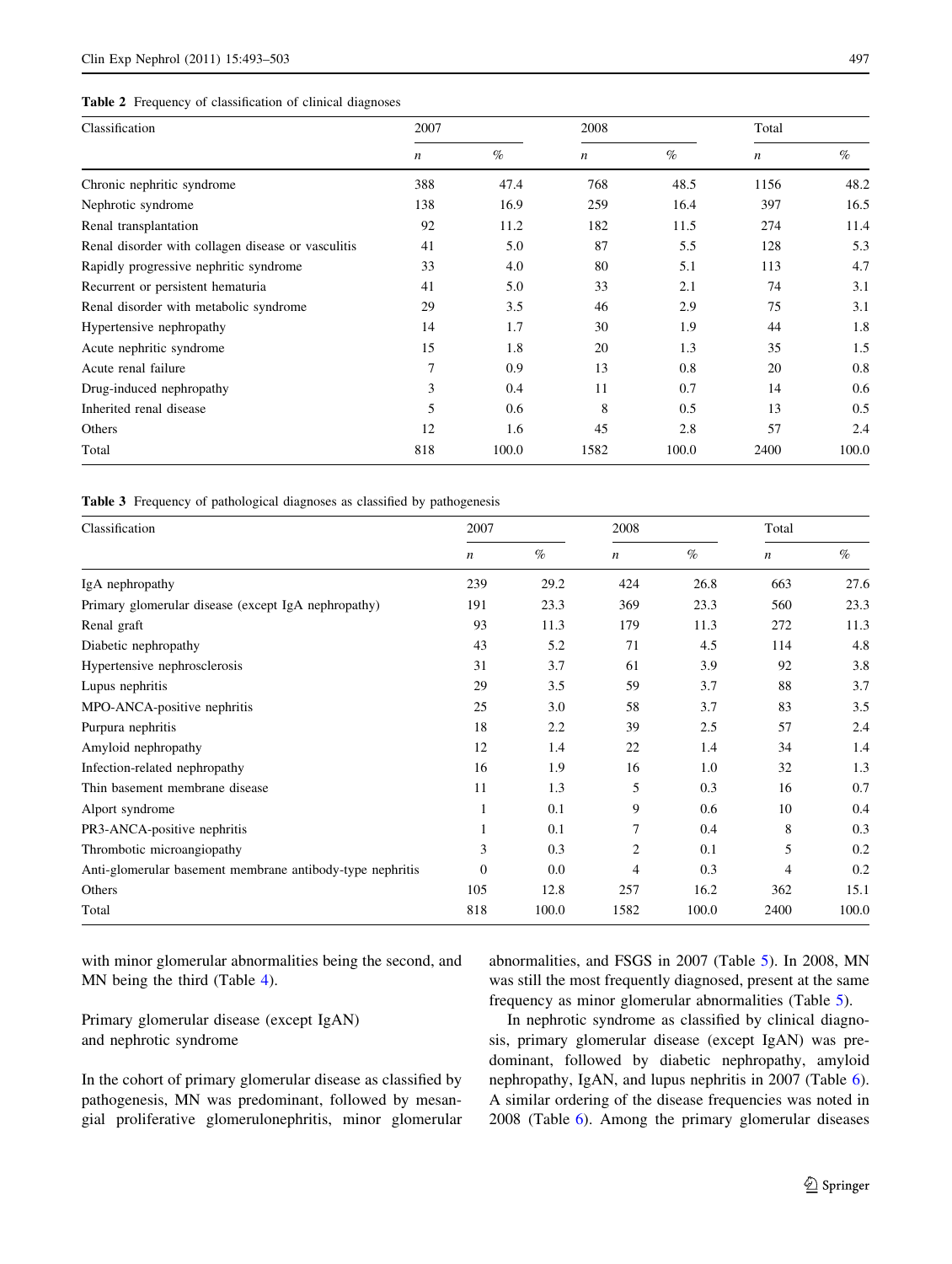<span id="page-4-0"></span>

| Classification                                     | 2007             |       | 2008             |       | Total            |       |
|----------------------------------------------------|------------------|-------|------------------|-------|------------------|-------|
|                                                    | $\boldsymbol{n}$ | $\%$  | $\boldsymbol{n}$ | $\%$  | $\boldsymbol{n}$ | $\%$  |
| Chronic nephritic syndrome                         | 388              | 47.4  | 768              | 48.5  | 1156             | 48.2  |
| Nephrotic syndrome                                 | 138              | 16.9  | 259              | 16.4  | 397              | 16.5  |
| Renal transplantation                              | 92               | 11.2  | 182              | 11.5  | 274              | 11.4  |
| Renal disorder with collagen disease or vasculitis | 41               | 5.0   | 87               | 5.5   | 128              | 5.3   |
| Rapidly progressive nephritic syndrome             | 33               | 4.0   | 80               | 5.1   | 113              | 4.7   |
| Recurrent or persistent hematuria                  | 41               | 5.0   | 33               | 2.1   | 74               | 3.1   |
| Renal disorder with metabolic syndrome             | 29               | 3.5   | 46               | 2.9   | 75               | 3.1   |
| Hypertensive nephropathy                           | 14               | 1.7   | 30               | 1.9   | 44               | 1.8   |
| Acute nephritic syndrome                           | 15               | 1.8   | 20               | 1.3   | 35               | 1.5   |
| Acute renal failure                                | 7                | 0.9   | 13               | 0.8   | 20               | 0.8   |
| Drug-induced nephropathy                           | 3                | 0.4   | 11               | 0.7   | 14               | 0.6   |
| Inherited renal disease                            | 5                | 0.6   | 8                | 0.5   | 13               | 0.5   |
| Others                                             | 12               | 1.6   | 45               | 2.8   | 57               | 2.4   |
| Total                                              | 818              | 100.0 | 1582             | 100.0 | 2400             | 100.0 |

Table 3 Frequency of pathological diagnoses as classified by pathogenesis

| Classification                                            | 2007             |       | 2008             |       | Total          |       |
|-----------------------------------------------------------|------------------|-------|------------------|-------|----------------|-------|
|                                                           | $\boldsymbol{n}$ | $\%$  | $\boldsymbol{n}$ | $\%$  | n              | $\%$  |
| IgA nephropathy                                           | 239              | 29.2  | 424              | 26.8  | 663            | 27.6  |
| Primary glomerular disease (except IgA nephropathy)       | 191              | 23.3  | 369              | 23.3  | 560            | 23.3  |
| Renal graft                                               | 93               | 11.3  | 179              | 11.3  | 272            | 11.3  |
| Diabetic nephropathy                                      | 43               | 5.2   | 71               | 4.5   | 114            | 4.8   |
| Hypertensive nephrosclerosis                              | 31               | 3.7   | 61               | 3.9   | 92             | 3.8   |
| Lupus nephritis                                           | 29               | 3.5   | 59               | 3.7   | 88             | 3.7   |
| MPO-ANCA-positive nephritis                               | 25               | 3.0   | 58               | 3.7   | 83             | 3.5   |
| Purpura nephritis                                         | 18               | 2.2   | 39               | 2.5   | 57             | 2.4   |
| Amyloid nephropathy                                       | 12               | 1.4   | 22               | 1.4   | 34             | 1.4   |
| Infection-related nephropathy                             | 16               | 1.9   | 16               | 1.0   | 32             | 1.3   |
| Thin basement membrane disease                            | 11               | 1.3   | 5                | 0.3   | 16             | 0.7   |
| Alport syndrome                                           |                  | 0.1   | 9                | 0.6   | 10             | 0.4   |
| PR3-ANCA-positive nephritis                               |                  | 0.1   | 7                | 0.4   | 8              | 0.3   |
| Thrombotic microangiopathy                                | 3                | 0.3   | $\mathfrak{2}$   | 0.1   | 5              | 0.2   |
| Anti-glomerular basement membrane antibody-type nephritis | $\Omega$         | 0.0   | 4                | 0.3   | $\overline{4}$ | 0.2   |
| Others                                                    | 105              | 12.8  | 257              | 16.2  | 362            | 15.1  |
| Total                                                     | 818              | 100.0 | 1582             | 100.0 | 2400           | 100.0 |

with minor glomerular abnormalities being the second, and MN being the third (Table [4](#page-5-0)).

Primary glomerular disease (except IgAN) and nephrotic syndrome

In the cohort of primary glomerular disease as classified by pathogenesis, MN was predominant, followed by mesangial proliferative glomerulonephritis, minor glomerular abnormalities, and FSGS in 2007 (Table [5](#page-5-0)). In 2008, MN was still the most frequently diagnosed, present at the same frequency as minor glomerular abnormalities (Table [5](#page-5-0)).

In nephrotic syndrome as classified by clinical diagnosis, primary glomerular disease (except IgAN) was predominant, followed by diabetic nephropathy, amyloid nephropathy, IgAN, and lupus nephritis in 2007 (Table [6](#page-6-0)). A similar ordering of the disease frequencies was noted in 2008 (Table [6](#page-6-0)). Among the primary glomerular diseases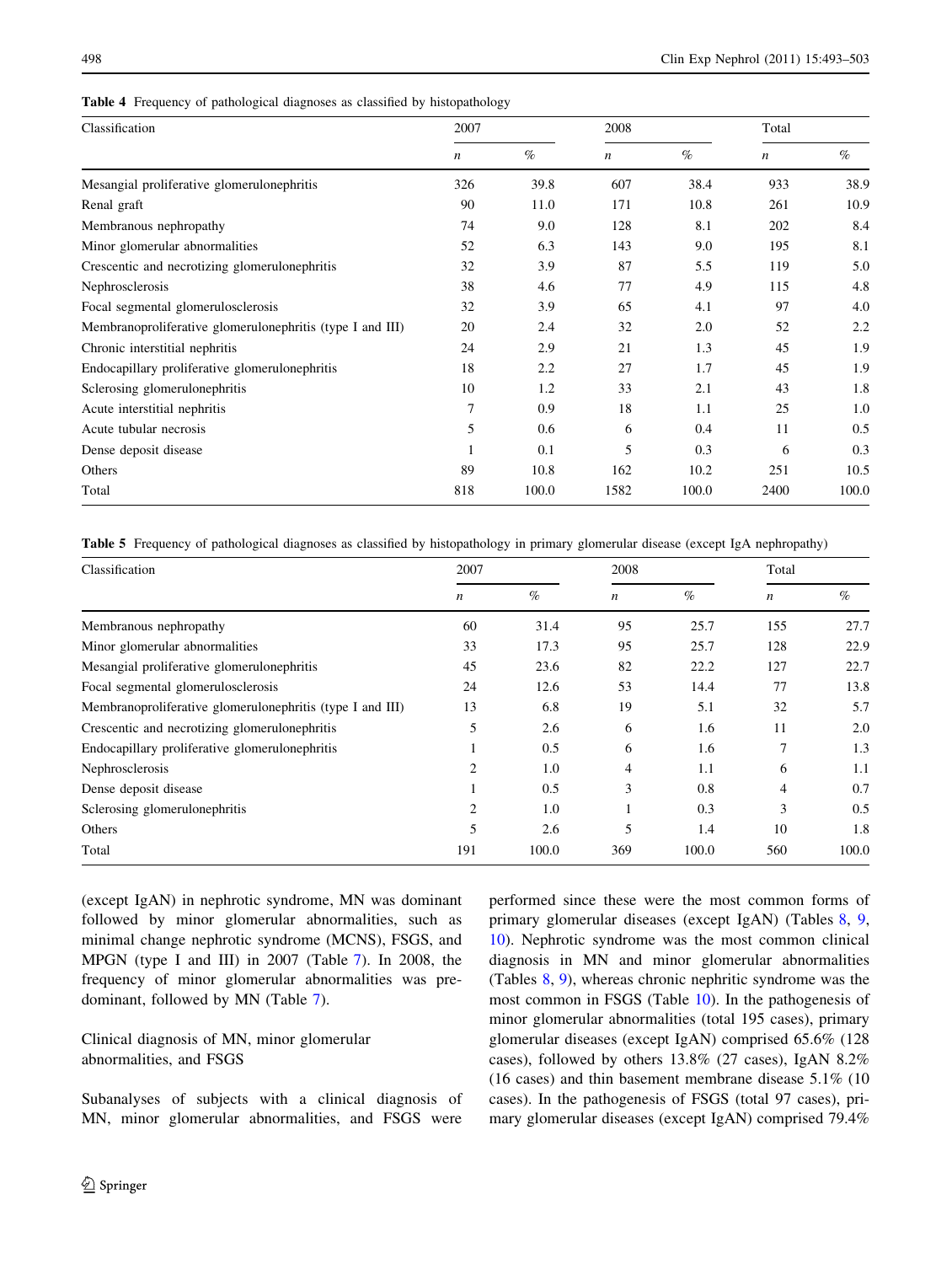<span id="page-5-0"></span>

|  |  | Table 4 Frequency of pathological diagnoses as classified by histopathology |  |  |  |  |
|--|--|-----------------------------------------------------------------------------|--|--|--|--|
|--|--|-----------------------------------------------------------------------------|--|--|--|--|

| Classification                                            | 2007 |       | 2008             |       | Total            |       |
|-----------------------------------------------------------|------|-------|------------------|-------|------------------|-------|
|                                                           | n    | $\%$  | $\boldsymbol{n}$ | $\%$  | $\boldsymbol{n}$ | $\%$  |
| Mesangial proliferative glomerulonephritis                | 326  | 39.8  | 607              | 38.4  | 933              | 38.9  |
| Renal graft                                               | 90   | 11.0  | 171              | 10.8  | 261              | 10.9  |
| Membranous nephropathy                                    | 74   | 9.0   | 128              | 8.1   | 202              | 8.4   |
| Minor glomerular abnormalities                            | 52   | 6.3   | 143              | 9.0   | 195              | 8.1   |
| Crescentic and necrotizing glomerulonephritis             | 32   | 3.9   | 87               | 5.5   | 119              | 5.0   |
| Nephrosclerosis                                           | 38   | 4.6   | 77               | 4.9   | 115              | 4.8   |
| Focal segmental glomerulosclerosis                        | 32   | 3.9   | 65               | 4.1   | 97               | 4.0   |
| Membranoproliferative glomerulonephritis (type I and III) | 20   | 2.4   | 32               | 2.0   | 52               | 2.2   |
| Chronic interstitial nephritis                            | 24   | 2.9   | 21               | 1.3   | 45               | 1.9   |
| Endocapillary proliferative glomerulonephritis            | 18   | 2.2   | 27               | 1.7   | 45               | 1.9   |
| Sclerosing glomerulonephritis                             | 10   | 1.2   | 33               | 2.1   | 43               | 1.8   |
| Acute interstitial nephritis                              | 7    | 0.9   | 18               | 1.1   | 25               | 1.0   |
| Acute tubular necrosis                                    | 5    | 0.6   | 6                | 0.4   | 11               | 0.5   |
| Dense deposit disease                                     |      | 0.1   | 5                | 0.3   | 6                | 0.3   |
| Others                                                    | 89   | 10.8  | 162              | 10.2  | 251              | 10.5  |
| Total                                                     | 818  | 100.0 | 1582             | 100.0 | 2400             | 100.0 |

Table 5 Frequency of pathological diagnoses as classified by histopathology in primary glomerular disease (except IgA nephropathy)

| Classification                                            | 2007           |       | 2008             |       | Total            |       |
|-----------------------------------------------------------|----------------|-------|------------------|-------|------------------|-------|
|                                                           | n              | $\%$  | $\boldsymbol{n}$ | $\%$  | $\boldsymbol{n}$ | $\%$  |
| Membranous nephropathy                                    | 60             | 31.4  | 95               | 25.7  | 155              | 27.7  |
| Minor glomerular abnormalities                            | 33             | 17.3  | 95               | 25.7  | 128              | 22.9  |
| Mesangial proliferative glomerulonephritis                | 45             | 23.6  | 82               | 22.2  | 127              | 22.7  |
| Focal segmental glomerulosclerosis                        | 24             | 12.6  | 53               | 14.4  | 77               | 13.8  |
| Membranoproliferative glomerulonephritis (type I and III) | 13             | 6.8   | 19               | 5.1   | 32               | 5.7   |
| Crescentic and necrotizing glomerulonephritis             | 5              | 2.6   | 6                | 1.6   | 11               | 2.0   |
| Endocapillary proliferative glomerulonephritis            |                | 0.5   | 6                | 1.6   | 7                | 1.3   |
| Nephrosclerosis                                           | $\overline{c}$ | 1.0   | 4                | 1.1   | 6                | 1.1   |
| Dense deposit disease                                     |                | 0.5   | 3                | 0.8   | 4                | 0.7   |
| Sclerosing glomerulonephritis                             | 2              | 1.0   |                  | 0.3   | 3                | 0.5   |
| Others                                                    | 5              | 2.6   | 5                | 1.4   | 10               | 1.8   |
| Total                                                     | 191            | 100.0 | 369              | 100.0 | 560              | 100.0 |

(except IgAN) in nephrotic syndrome, MN was dominant followed by minor glomerular abnormalities, such as minimal change nephrotic syndrome (MCNS), FSGS, and MPGN (type I and III) in 2007 (Table [7](#page-6-0)). In 2008, the frequency of minor glomerular abnormalities was predominant, followed by MN (Table [7\)](#page-6-0).

Clinical diagnosis of MN, minor glomerular abnormalities, and FSGS

Subanalyses of subjects with a clinical diagnosis of MN, minor glomerular abnormalities, and FSGS were performed since these were the most common forms of primary glomerular diseases (except IgAN) (Tables [8,](#page-6-0) [9,](#page-7-0) [10](#page-7-0)). Nephrotic syndrome was the most common clinical diagnosis in MN and minor glomerular abnormalities (Tables [8](#page-6-0), [9\)](#page-7-0), whereas chronic nephritic syndrome was the most common in FSGS (Table [10\)](#page-7-0). In the pathogenesis of minor glomerular abnormalities (total 195 cases), primary glomerular diseases (except IgAN) comprised 65.6% (128 cases), followed by others 13.8% (27 cases), IgAN 8.2% (16 cases) and thin basement membrane disease 5.1% (10 cases). In the pathogenesis of FSGS (total 97 cases), primary glomerular diseases (except IgAN) comprised 79.4%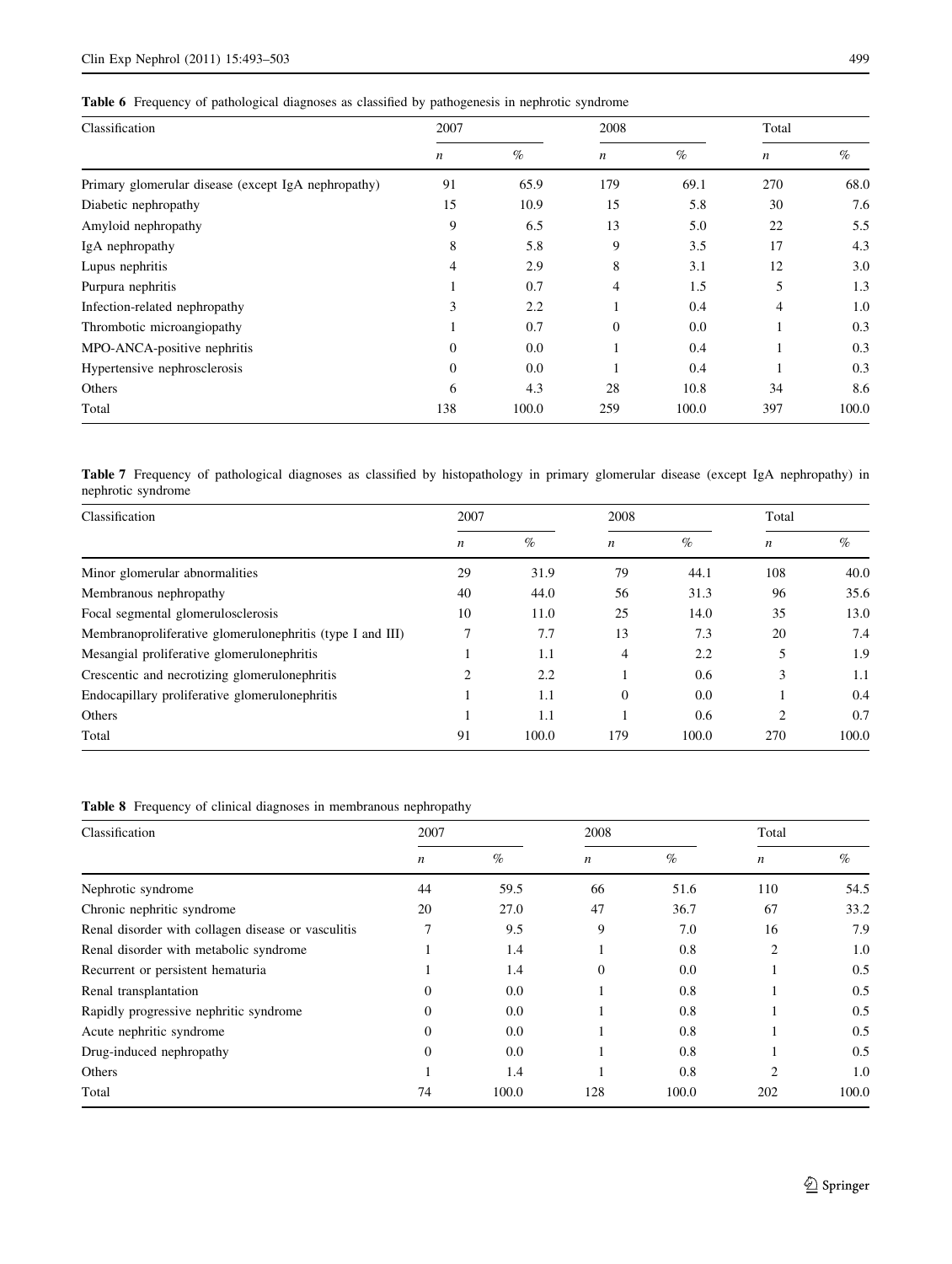<span id="page-6-0"></span>Table 6 Frequency of pathological diagnoses as classified by pathogenesis in nephrotic syndrome

| Classification                                      | 2007             |       | 2008             |       | Total            |       |
|-----------------------------------------------------|------------------|-------|------------------|-------|------------------|-------|
|                                                     | $\boldsymbol{n}$ | $\%$  | $\boldsymbol{n}$ | $\%$  | $\boldsymbol{n}$ | $\%$  |
| Primary glomerular disease (except IgA nephropathy) | 91               | 65.9  | 179              | 69.1  | 270              | 68.0  |
| Diabetic nephropathy                                | 15               | 10.9  | 15               | 5.8   | 30               | 7.6   |
| Amyloid nephropathy                                 | 9                | 6.5   | 13               | 5.0   | 22               | 5.5   |
| IgA nephropathy                                     | 8                | 5.8   | 9                | 3.5   | 17               | 4.3   |
| Lupus nephritis                                     | 4                | 2.9   | 8                | 3.1   | 12               | 3.0   |
| Purpura nephritis                                   |                  | 0.7   | $\overline{4}$   | 1.5   | 5                | 1.3   |
| Infection-related nephropathy                       | 3                | 2.2   |                  | 0.4   | 4                | 1.0   |
| Thrombotic microangiopathy                          |                  | 0.7   | $\Omega$         | 0.0   |                  | 0.3   |
| MPO-ANCA-positive nephritis                         | $\Omega$         | 0.0   |                  | 0.4   |                  | 0.3   |
| Hypertensive nephrosclerosis                        | $\overline{0}$   | 0.0   |                  | 0.4   |                  | 0.3   |
| Others                                              | 6                | 4.3   | 28               | 10.8  | 34               | 8.6   |
| Total                                               | 138              | 100.0 | 259              | 100.0 | 397              | 100.0 |

Table 7 Frequency of pathological diagnoses as classified by histopathology in primary glomerular disease (except IgA nephropathy) in nephrotic syndrome

| Classification                                            | 2007 |       |                  | 2008  |                | Total |  |
|-----------------------------------------------------------|------|-------|------------------|-------|----------------|-------|--|
|                                                           | n    | $\%$  | $\boldsymbol{n}$ | $\%$  | n              | $\%$  |  |
| Minor glomerular abnormalities                            | 29   | 31.9  | 79               | 44.1  | 108            | 40.0  |  |
| Membranous nephropathy                                    | 40   | 44.0  | 56               | 31.3  | 96             | 35.6  |  |
| Focal segmental glomerulosclerosis                        | 10   | 11.0  | 25               | 14.0  | 35             | 13.0  |  |
| Membranoproliferative glomerulonephritis (type I and III) | 7    | 7.7   | 13               | 7.3   | 20             | 7.4   |  |
| Mesangial proliferative glomerulonephritis                |      | 1.1   | 4                | 2.2   |                | 1.9   |  |
| Crescentic and necrotizing glomerulonephritis             | 2    | 2.2   |                  | 0.6   | 3              | 1.1   |  |
| Endocapillary proliferative glomerulonephritis            |      | 1.1   | $\Omega$         | 0.0   |                | 0.4   |  |
| Others                                                    |      | 1.1   |                  | 0.6   | $\overline{c}$ | 0.7   |  |
| Total                                                     | 91   | 100.0 | 179              | 100.0 | 270            | 100.0 |  |

## Table 8 Frequency of clinical diagnoses in membranous nephropathy

| Classification                                     | 2007             |       | 2008             |       | Total                       |       |  |
|----------------------------------------------------|------------------|-------|------------------|-------|-----------------------------|-------|--|
|                                                    | $\boldsymbol{n}$ | $\%$  | $\boldsymbol{n}$ | $\%$  | $\boldsymbol{n}$            | $\%$  |  |
| Nephrotic syndrome                                 | 44               | 59.5  | 66               | 51.6  | 110                         | 54.5  |  |
| Chronic nephritic syndrome                         | 20               | 27.0  | 47               | 36.7  | 67                          | 33.2  |  |
| Renal disorder with collagen disease or vasculitis | 7                | 9.5   | 9                | 7.0   | 16                          | 7.9   |  |
| Renal disorder with metabolic syndrome             |                  | 1.4   |                  | 0.8   | $\overline{c}$              | 1.0   |  |
| Recurrent or persistent hematuria                  |                  | 1.4   | $\Omega$         | 0.0   |                             | 0.5   |  |
| Renal transplantation                              | $\Omega$         | 0.0   |                  | 0.8   |                             | 0.5   |  |
| Rapidly progressive nephritic syndrome             | $\Omega$         | 0.0   |                  | 0.8   |                             | 0.5   |  |
| Acute nephritic syndrome                           | $\Omega$         | 0.0   |                  | 0.8   |                             | 0.5   |  |
| Drug-induced nephropathy                           | $\Omega$         | 0.0   |                  | 0.8   |                             | 0.5   |  |
| Others                                             |                  | 1.4   |                  | 0.8   | $\mathcal{D}_{\mathcal{L}}$ | 1.0   |  |
| Total                                              | 74               | 100.0 | 128              | 100.0 | 202                         | 100.0 |  |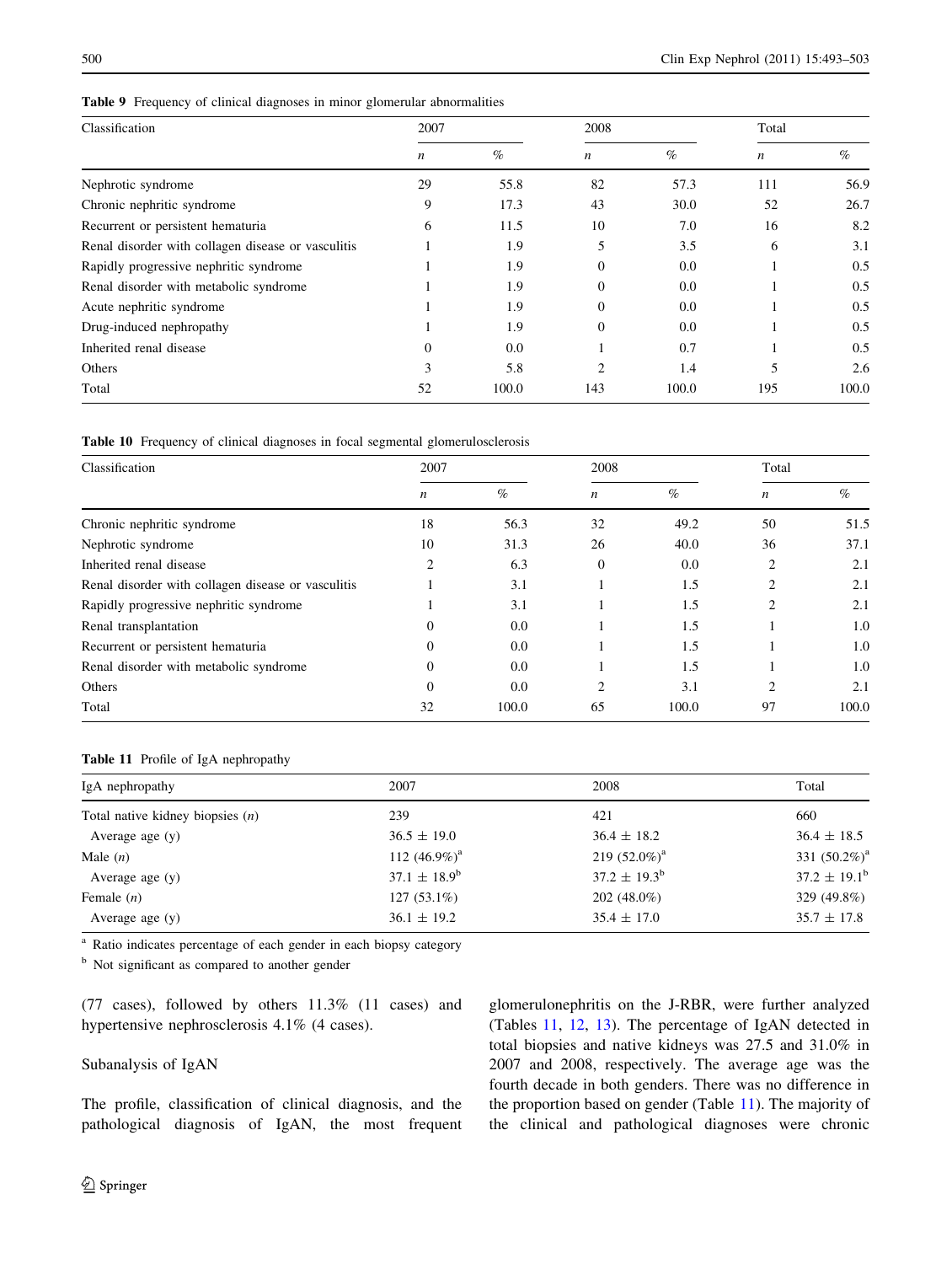| Classification                                     | 2007             |       | 2008             |       | Total            |       |  |
|----------------------------------------------------|------------------|-------|------------------|-------|------------------|-------|--|
|                                                    | $\boldsymbol{n}$ | $\%$  | $\boldsymbol{n}$ | $\%$  | $\boldsymbol{n}$ | $\%$  |  |
| Nephrotic syndrome                                 | 29               | 55.8  | 82               | 57.3  | 111              | 56.9  |  |
| Chronic nephritic syndrome                         | 9                | 17.3  | 43               | 30.0  | 52               | 26.7  |  |
| Recurrent or persistent hematuria                  | 6                | 11.5  | 10               | 7.0   | 16               | 8.2   |  |
| Renal disorder with collagen disease or vasculitis |                  | 1.9   |                  | 3.5   | 6                | 3.1   |  |
| Rapidly progressive nephritic syndrome             |                  | 1.9   | $\Omega$         | 0.0   |                  | 0.5   |  |
| Renal disorder with metabolic syndrome             |                  | 1.9   | $\Omega$         | 0.0   |                  | 0.5   |  |
| Acute nephritic syndrome                           |                  | 1.9   | $\Omega$         | 0.0   |                  | 0.5   |  |
| Drug-induced nephropathy                           |                  | 1.9   | $\Omega$         | 0.0   |                  | 0.5   |  |
| Inherited renal disease                            | 0                | 0.0   |                  | 0.7   |                  | 0.5   |  |
| Others                                             | 3                | 5.8   | $\mathfrak{D}$   | 1.4   | 5                | 2.6   |  |
| Total                                              | 52               | 100.0 | 143              | 100.0 | 195              | 100.0 |  |

### <span id="page-7-0"></span>Table 9 Frequency of clinical diagnoses in minor glomerular abnormalities

Table 10 Frequency of clinical diagnoses in focal segmental glomerulosclerosis

| Classification                                     | 2007             | 2008  |                  |       | Total |       |  |
|----------------------------------------------------|------------------|-------|------------------|-------|-------|-------|--|
|                                                    | $\boldsymbol{n}$ | $\%$  | $\boldsymbol{n}$ | $\%$  | n     | $\%$  |  |
| Chronic nephritic syndrome                         | 18               | 56.3  | 32               | 49.2  | 50    | 51.5  |  |
| Nephrotic syndrome                                 | 10               | 31.3  | 26               | 40.0  | 36    | 37.1  |  |
| Inherited renal disease                            | 2                | 6.3   | $\Omega$         | 0.0   | 2     | 2.1   |  |
| Renal disorder with collagen disease or vasculitis |                  | 3.1   |                  | 1.5   | 2     | 2.1   |  |
| Rapidly progressive nephritic syndrome             |                  | 3.1   |                  | 1.5   | 2     | 2.1   |  |
| Renal transplantation                              | 0                | 0.0   |                  | 1.5   |       | 1.0   |  |
| Recurrent or persistent hematuria                  | 0                | 0.0   |                  | 1.5   |       | 1.0   |  |
| Renal disorder with metabolic syndrome             | 0                | 0.0   |                  | 1.5   |       | 1.0   |  |
| Others                                             | $\Omega$         | 0.0   | $\overline{c}$   | 3.1   | 2     | 2.1   |  |
| Total                                              | 32               | 100.0 | 65               | 100.0 | 97    | 100.0 |  |

Table 11 Profile of IgA nephropathy

| IgA nephropathy                    | 2007              | 2008                    | Total                   |
|------------------------------------|-------------------|-------------------------|-------------------------|
| Total native kidney biopsies $(n)$ | 239               | 421                     | 660                     |
| Average age (y)                    | $36.5 \pm 19.0$   | $36.4 \pm 18.2$         | $36.4 \pm 18.5$         |
| Male $(n)$                         | 112 $(46.9\%)^a$  | 219 $(52.0\%)^a$        | 331 $(50.2\%)^a$        |
| Average age (y)                    | $37.1 \pm 18.9^b$ | $37.2 \pm 19.3^{\rm b}$ | $37.2 \pm 19.1^{\rm b}$ |
| Female $(n)$                       | $127(53.1\%)$     | $202(48.0\%)$           | 329 (49.8%)             |
| Average age (y)                    | $36.1 \pm 19.2$   | $35.4 \pm 17.0$         | $35.7 \pm 17.8$         |

<sup>a</sup> Ratio indicates percentage of each gender in each biopsy category

<sup>b</sup> Not significant as compared to another gender

(77 cases), followed by others 11.3% (11 cases) and hypertensive nephrosclerosis 4.1% (4 cases).

## Subanalysis of IgAN

The profile, classification of clinical diagnosis, and the pathological diagnosis of IgAN, the most frequent glomerulonephritis on the J-RBR, were further analyzed (Tables 11, [12](#page-8-0), [13\)](#page-8-0). The percentage of IgAN detected in total biopsies and native kidneys was 27.5 and 31.0% in 2007 and 2008, respectively. The average age was the fourth decade in both genders. There was no difference in the proportion based on gender (Table 11). The majority of the clinical and pathological diagnoses were chronic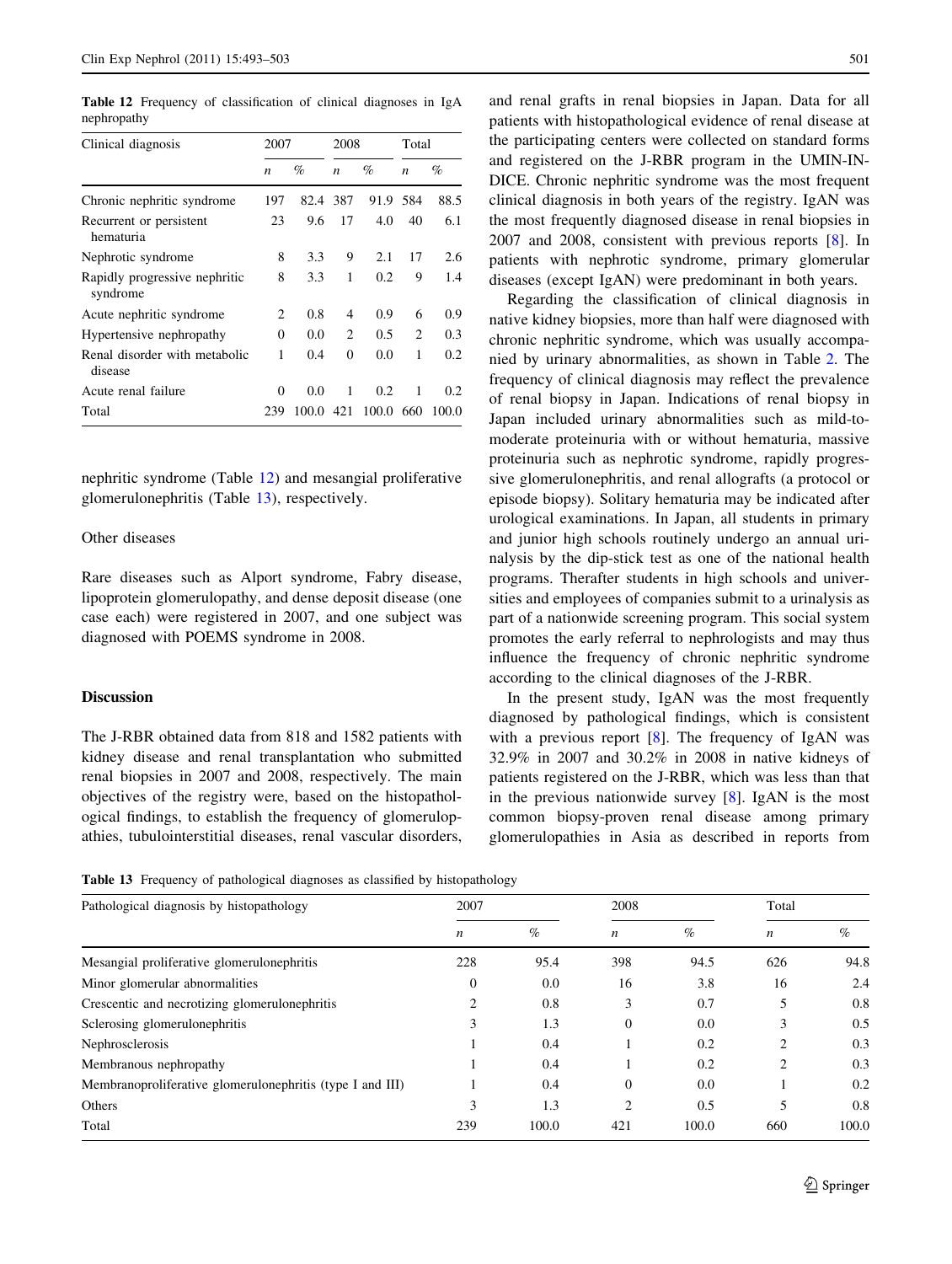<span id="page-8-0"></span>Table 12 Frequency of classification of clinical diagnoses in IgA nephropathy

| Clinical diagnosis                        | 2007             |       | 2008             |       | Total            |               |
|-------------------------------------------|------------------|-------|------------------|-------|------------------|---------------|
|                                           | $\boldsymbol{n}$ | $\%$  | $\boldsymbol{n}$ | $\%$  | $\boldsymbol{n}$ | $\%$          |
| Chronic nephritic syndrome                | 197              | 82.4  | -387             | 91.9  | 584              | 88.5          |
| Recurrent or persistent<br>hematuria      | 23               | 9.6   | 17               | 4.0   | 40               | 6.1           |
| Nephrotic syndrome                        | 8                | 3.3   | 9                | 2.1   | 17               | 2.6           |
| Rapidly progressive nephritic<br>syndrome | 8                | 3.3   | 1                | 0.2   | 9                | 1.4           |
| Acute nephritic syndrome                  | 2                | 0.8   | 4                | 0.9   | 6                | 0.9           |
| Hypertensive nephropathy                  | 0                | 0.0   | $\overline{c}$   | 0.5   | 2                | 0.3           |
| Renal disorder with metabolic<br>disease  | 1                | 0.4   | $\theta$         | 0.0   | 1                | 0.2           |
| Acute renal failure                       | $\theta$         | 0.0   | 1                | 0.2   | 1                | $0.2^{\circ}$ |
| Total                                     | 239              | 100.0 | 421              | 100.0 | 660              | 100.0         |

nephritic syndrome (Table 12) and mesangial proliferative glomerulonephritis (Table 13), respectively.

## Other diseases

Rare diseases such as Alport syndrome, Fabry disease, lipoprotein glomerulopathy, and dense deposit disease (one case each) were registered in 2007, and one subject was diagnosed with POEMS syndrome in 2008.

## Discussion

The J-RBR obtained data from 818 and 1582 patients with kidney disease and renal transplantation who submitted renal biopsies in 2007 and 2008, respectively. The main objectives of the registry were, based on the histopathological findings, to establish the frequency of glomerulopathies, tubulointerstitial diseases, renal vascular disorders,

and renal grafts in renal biopsies in Japan. Data for all patients with histopathological evidence of renal disease at the participating centers were collected on standard forms and registered on the J-RBR program in the UMIN-IN-DICE. Chronic nephritic syndrome was the most frequent clinical diagnosis in both years of the registry. IgAN was the most frequently diagnosed disease in renal biopsies in 2007 and 2008, consistent with previous reports [\[8](#page-10-0)]. In patients with nephrotic syndrome, primary glomerular diseases (except IgAN) were predominant in both years.

Regarding the classification of clinical diagnosis in native kidney biopsies, more than half were diagnosed with chronic nephritic syndrome, which was usually accompanied by urinary abnormalities, as shown in Table [2.](#page-4-0) The frequency of clinical diagnosis may reflect the prevalence of renal biopsy in Japan. Indications of renal biopsy in Japan included urinary abnormalities such as mild-tomoderate proteinuria with or without hematuria, massive proteinuria such as nephrotic syndrome, rapidly progressive glomerulonephritis, and renal allografts (a protocol or episode biopsy). Solitary hematuria may be indicated after urological examinations. In Japan, all students in primary and junior high schools routinely undergo an annual urinalysis by the dip-stick test as one of the national health programs. Therafter students in high schools and universities and employees of companies submit to a urinalysis as part of a nationwide screening program. This social system promotes the early referral to nephrologists and may thus influence the frequency of chronic nephritic syndrome according to the clinical diagnoses of the J-RBR.

In the present study, IgAN was the most frequently diagnosed by pathological findings, which is consistent with a previous report [\[8](#page-10-0)]. The frequency of IgAN was 32.9% in 2007 and 30.2% in 2008 in native kidneys of patients registered on the J-RBR, which was less than that in the previous nationwide survey [[8\]](#page-10-0). IgAN is the most common biopsy-proven renal disease among primary glomerulopathies in Asia as described in reports from

Table 13 Frequency of pathological diagnoses as classified by histopathology

| Pathological diagnosis by histopathology                  | 2007 |       | 2008             |       | Total            |       |
|-----------------------------------------------------------|------|-------|------------------|-------|------------------|-------|
|                                                           | n    | $\%$  | $\boldsymbol{n}$ | $\%$  | $\boldsymbol{n}$ | $\%$  |
| Mesangial proliferative glomerulonephritis                | 228  | 95.4  | 398              | 94.5  | 626              | 94.8  |
| Minor glomerular abnormalities                            | 0    | 0.0   | 16               | 3.8   | 16               | 2.4   |
| Crescentic and necrotizing glomerulonephritis             | 2    | 0.8   | 3                | 0.7   | 5                | 0.8   |
| Sclerosing glomerulonephritis                             | 3    | 1.3   | $\Omega$         | 0.0   | 3                | 0.5   |
| Nephrosclerosis                                           |      | 0.4   |                  | 0.2   | $\overline{c}$   | 0.3   |
| Membranous nephropathy                                    |      | 0.4   |                  | 0.2   | $\overline{2}$   | 0.3   |
| Membranoproliferative glomerulonephritis (type I and III) |      | 0.4   | $\Omega$         | 0.0   |                  | 0.2   |
| Others                                                    | 3    | 1.3   | 2                | 0.5   | 5                | 0.8   |
| Total                                                     | 239  | 100.0 | 421              | 100.0 | 660              | 100.0 |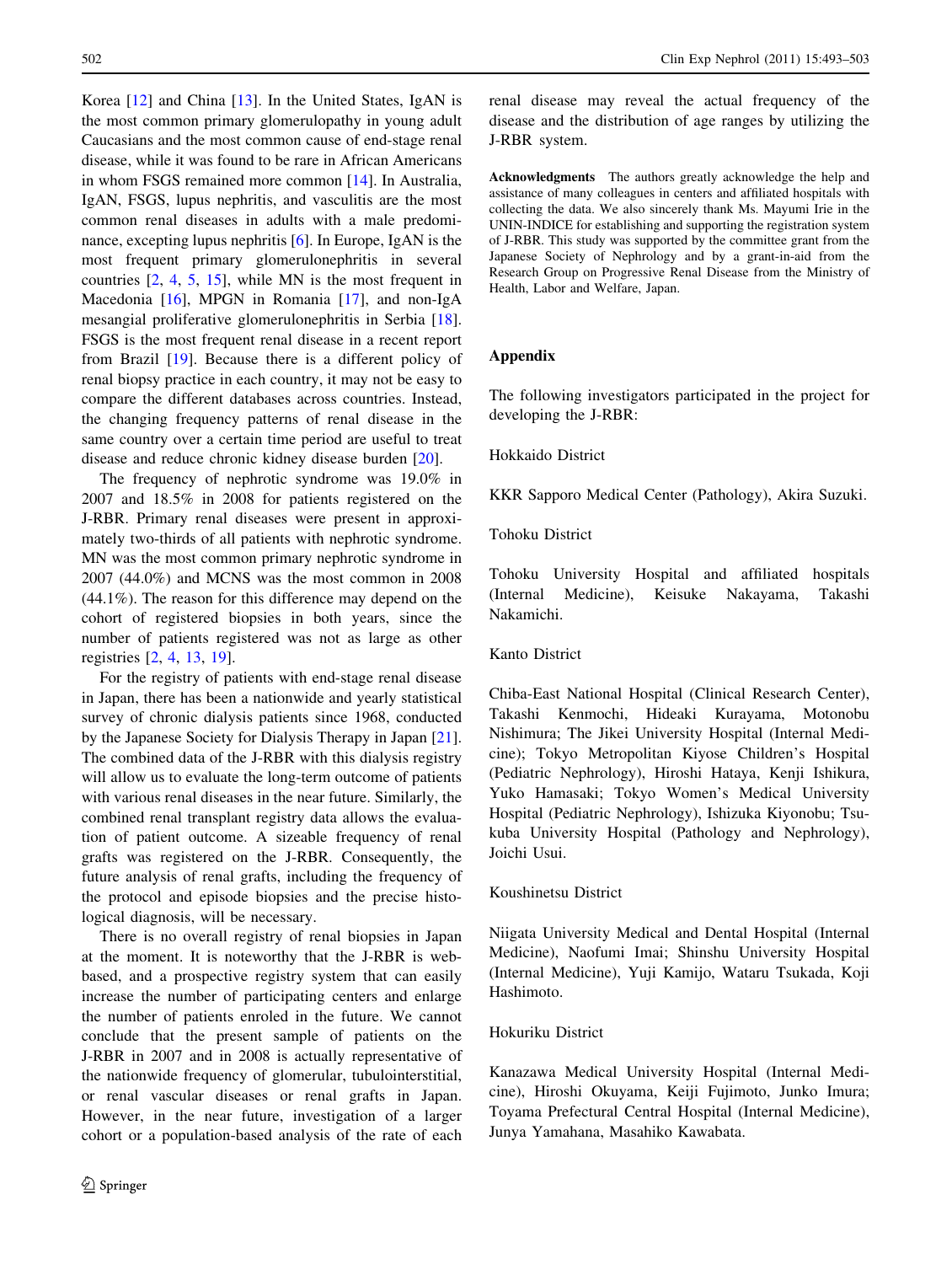Korea [\[12](#page-10-0)] and China [\[13](#page-10-0)]. In the United States, IgAN is the most common primary glomerulopathy in young adult Caucasians and the most common cause of end-stage renal disease, while it was found to be rare in African Americans in whom FSGS remained more common [\[14](#page-10-0)]. In Australia, IgAN, FSGS, lupus nephritis, and vasculitis are the most common renal diseases in adults with a male predominance, excepting lupus nephritis [\[6](#page-10-0)]. In Europe, IgAN is the most frequent primary glomerulonephritis in several countries [[2,](#page-10-0) [4](#page-10-0), [5](#page-10-0), [15\]](#page-10-0), while MN is the most frequent in Macedonia [[16\]](#page-10-0), MPGN in Romania [\[17](#page-10-0)], and non-IgA mesangial proliferative glomerulonephritis in Serbia [\[18](#page-10-0)]. FSGS is the most frequent renal disease in a recent report from Brazil [[19\]](#page-10-0). Because there is a different policy of renal biopsy practice in each country, it may not be easy to compare the different databases across countries. Instead, the changing frequency patterns of renal disease in the same country over a certain time period are useful to treat disease and reduce chronic kidney disease burden [[20\]](#page-10-0).

The frequency of nephrotic syndrome was 19.0% in 2007 and 18.5% in 2008 for patients registered on the J-RBR. Primary renal diseases were present in approximately two-thirds of all patients with nephrotic syndrome. MN was the most common primary nephrotic syndrome in 2007 (44.0%) and MCNS was the most common in 2008 (44.1%). The reason for this difference may depend on the cohort of registered biopsies in both years, since the number of patients registered was not as large as other registries [\[2](#page-10-0), [4](#page-10-0), [13,](#page-10-0) [19\]](#page-10-0).

For the registry of patients with end-stage renal disease in Japan, there has been a nationwide and yearly statistical survey of chronic dialysis patients since 1968, conducted by the Japanese Society for Dialysis Therapy in Japan [\[21](#page-10-0)]. The combined data of the J-RBR with this dialysis registry will allow us to evaluate the long-term outcome of patients with various renal diseases in the near future. Similarly, the combined renal transplant registry data allows the evaluation of patient outcome. A sizeable frequency of renal grafts was registered on the J-RBR. Consequently, the future analysis of renal grafts, including the frequency of the protocol and episode biopsies and the precise histological diagnosis, will be necessary.

There is no overall registry of renal biopsies in Japan at the moment. It is noteworthy that the J-RBR is webbased, and a prospective registry system that can easily increase the number of participating centers and enlarge the number of patients enroled in the future. We cannot conclude that the present sample of patients on the J-RBR in 2007 and in 2008 is actually representative of the nationwide frequency of glomerular, tubulointerstitial, or renal vascular diseases or renal grafts in Japan. However, in the near future, investigation of a larger cohort or a population-based analysis of the rate of each renal disease may reveal the actual frequency of the disease and the distribution of age ranges by utilizing the J-RBR system.

Acknowledgments The authors greatly acknowledge the help and assistance of many colleagues in centers and affiliated hospitals with collecting the data. We also sincerely thank Ms. Mayumi Irie in the UNIN-INDICE for establishing and supporting the registration system of J-RBR. This study was supported by the committee grant from the Japanese Society of Nephrology and by a grant-in-aid from the Research Group on Progressive Renal Disease from the Ministry of Health, Labor and Welfare, Japan.

## Appendix

The following investigators participated in the project for developing the J-RBR:

Hokkaido District

KKR Sapporo Medical Center (Pathology), Akira Suzuki.

Tohoku District

Tohoku University Hospital and affiliated hospitals (Internal Medicine), Keisuke Nakayama, Takashi Nakamichi.

## Kanto District

Chiba-East National Hospital (Clinical Research Center), Takashi Kenmochi, Hideaki Kurayama, Motonobu Nishimura; The Jikei University Hospital (Internal Medicine); Tokyo Metropolitan Kiyose Children's Hospital (Pediatric Nephrology), Hiroshi Hataya, Kenji Ishikura, Yuko Hamasaki; Tokyo Women's Medical University Hospital (Pediatric Nephrology), Ishizuka Kiyonobu; Tsukuba University Hospital (Pathology and Nephrology), Joichi Usui.

## Koushinetsu District

Niigata University Medical and Dental Hospital (Internal Medicine), Naofumi Imai; Shinshu University Hospital (Internal Medicine), Yuji Kamijo, Wataru Tsukada, Koji Hashimoto.

## Hokuriku District

Kanazawa Medical University Hospital (Internal Medicine), Hiroshi Okuyama, Keiji Fujimoto, Junko Imura; Toyama Prefectural Central Hospital (Internal Medicine), Junya Yamahana, Masahiko Kawabata.